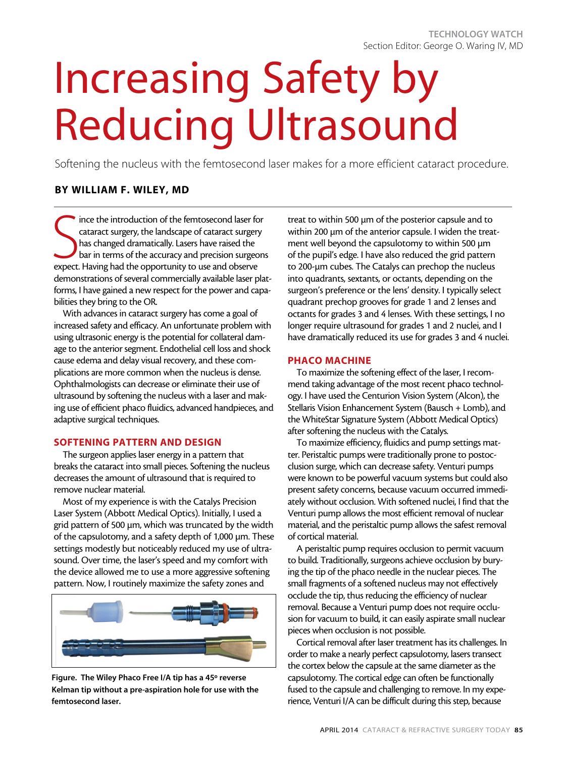# Increasing Safety by Reducing Ultrasound

Softening the nucleus with the femtosecond laser makes for a more efficient cataract procedure.

# By William F. Wiley, MD

State introduction of the femtosecond laser for cataract surgery, the landscape of cataract surgery has changed dramatically. Lasers have raised the bar in terms of the accuracy and precision surgeo expect. Having had the ince the introduction of the femtosecond laser for cataract surgery, the landscape of cataract surgery has changed dramatically. Lasers have raised the bar in terms of the accuracy and precision surgeons demonstrations of several commercially available laser platforms, I have gained a new respect for the power and capabilities they bring to the OR.

With advances in cataract surgery has come a goal of increased safety and efficacy. An unfortunate problem with using ultrasonic energy is the potential for collateral damage to the anterior segment. Endothelial cell loss and shock cause edema and delay visual recovery, and these complications are more common when the nucleus is dense. Ophthalmologists can decrease or eliminate their use of ultrasound by softening the nucleus with a laser and making use of efficient phaco fluidics, advanced handpieces, and adaptive surgical techniques.

## SOFTENING PATTERN AND DESIGN

The surgeon applies laser energy in a pattern that breaks the cataract into small pieces. Softening the nucleus decreases the amount of ultrasound that is required to remove nuclear material.

Most of my experience is with the Catalys Precision Laser System (Abbott Medical Optics). Initially, I used a grid pattern of 500 µm, which was truncated by the width of the capsulotomy, and a safety depth of 1,000 µm. These settings modestly but noticeably reduced my use of ultrasound. Over time, the laser's speed and my comfort with the device allowed me to use a more aggressive softening pattern. Now, I routinely maximize the safety zones and



Figure. The Wiley Phaco Free I/A tip has a 45º reverse Kelman tip without a pre-aspiration hole for use with the femtosecond laser.

treat to within 500 µm of the posterior capsule and to within 200 µm of the anterior capsule. I widen the treatment well beyond the capsulotomy to within 500 µm of the pupil's edge. I have also reduced the grid pattern to 200-µm cubes. The Catalys can prechop the nucleus into quadrants, sextants, or octants, depending on the surgeon's preference or the lens' density. I typically select quadrant prechop grooves for grade 1 and 2 lenses and octants for grades 3 and 4 lenses. With these settings, I no longer require ultrasound for grades 1 and 2 nuclei, and I have dramatically reduced its use for grades 3 and 4 nuclei.

### PHACO MACHINE

To maximize the softening effect of the laser, I recommend taking advantage of the most recent phaco technology. I have used the Centurion Vision System (Alcon), the Stellaris Vision Enhancement System (Bausch + Lomb), and the WhiteStar Signature System (Abbott Medical Optics) after softening the nucleus with the Catalys.

To maximize efficiency, fluidics and pump settings matter. Peristaltic pumps were traditionally prone to postocclusion surge, which can decrease safety. Venturi pumps were known to be powerful vacuum systems but could also present safety concerns, because vacuum occurred immediately without occlusion. With softened nuclei, I find that the Venturi pump allows the most efficient removal of nuclear material, and the peristaltic pump allows the safest removal of cortical material.

A peristaltic pump requires occlusion to permit vacuum to build. Traditionally, surgeons achieve occlusion by burying the tip of the phaco needle in the nuclear pieces. The small fragments of a softened nucleus may not effectively occlude the tip, thus reducing the efficiency of nuclear removal. Because a Venturi pump does not require occlusion for vacuum to build, it can easily aspirate small nuclear pieces when occlusion is not possible.

Cortical removal after laser treatment has its challenges. In order to make a nearly perfect capsulotomy, lasers transect the cortex below the capsule at the same diameter as the capsulotomy. The cortical edge can often be functionally fused to the capsule and challenging to remove. In my experience, Venturi I/A can be difficult during this step, because